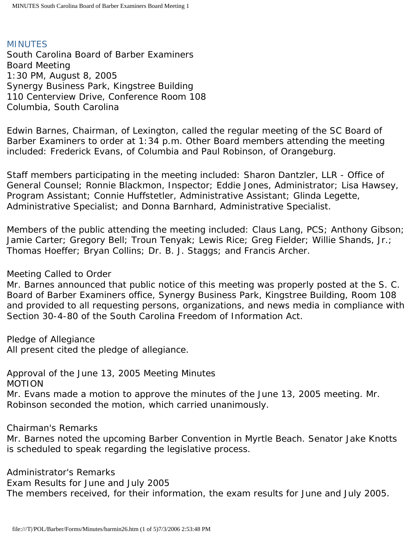#### **MINUTES**

South Carolina Board of Barber Examiners Board Meeting 1:30 PM, August 8, 2005 Synergy Business Park, Kingstree Building 110 Centerview Drive, Conference Room 108 Columbia, South Carolina

Edwin Barnes, Chairman, of Lexington, called the regular meeting of the SC Board of Barber Examiners to order at 1:34 p.m. Other Board members attending the meeting included: Frederick Evans, of Columbia and Paul Robinson, of Orangeburg.

Staff members participating in the meeting included: Sharon Dantzler, LLR - Office of General Counsel; Ronnie Blackmon, Inspector; Eddie Jones, Administrator; Lisa Hawsey, Program Assistant; Connie Huffstetler, Administrative Assistant; Glinda Legette, Administrative Specialist; and Donna Barnhard, Administrative Specialist.

Members of the public attending the meeting included: Claus Lang, PCS; Anthony Gibson; Jamie Carter; Gregory Bell; Troun Tenyak; Lewis Rice; Greg Fielder; Willie Shands, Jr.; Thomas Hoeffer; Bryan Collins; Dr. B. J. Staggs; and Francis Archer.

Meeting Called to Order

Mr. Barnes announced that public notice of this meeting was properly posted at the S. C. Board of Barber Examiners office, Synergy Business Park, Kingstree Building, Room 108 and provided to all requesting persons, organizations, and news media in compliance with Section 30-4-80 of the South Carolina Freedom of Information Act.

Pledge of Allegiance

All present cited the pledge of allegiance.

Approval of the June 13, 2005 Meeting Minutes MOTION

Mr. Evans made a motion to approve the minutes of the June 13, 2005 meeting. Mr. Robinson seconded the motion, which carried unanimously.

Chairman's Remarks

Mr. Barnes noted the upcoming Barber Convention in Myrtle Beach. Senator Jake Knotts is scheduled to speak regarding the legislative process.

Administrator's Remarks Exam Results for June and July 2005 The members received, for their information, the exam results for June and July 2005.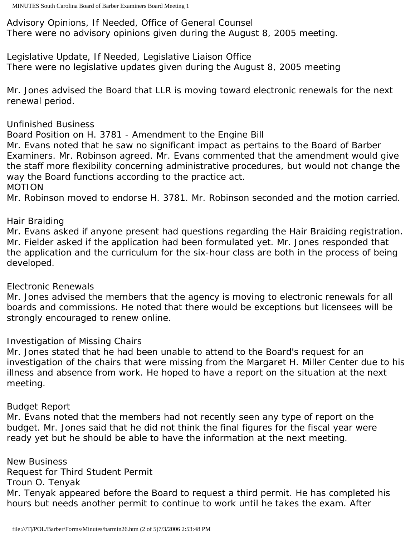Advisory Opinions, If Needed, Office of General Counsel There were no advisory opinions given during the August 8, 2005 meeting.

Legislative Update, If Needed, Legislative Liaison Office There were no legislative updates given during the August 8, 2005 meeting

Mr. Jones advised the Board that LLR is moving toward electronic renewals for the next renewal period.

# Unfinished Business

Board Position on H. 3781 - Amendment to the Engine Bill

Mr. Evans noted that he saw no significant impact as pertains to the Board of Barber Examiners. Mr. Robinson agreed. Mr. Evans commented that the amendment would give the staff more flexibility concerning administrative procedures, but would not change the way the Board functions according to the practice act.

#### MOTION

Mr. Robinson moved to endorse H. 3781. Mr. Robinson seconded and the motion carried.

#### Hair Braiding

Mr. Evans asked if anyone present had questions regarding the Hair Braiding registration. Mr. Fielder asked if the application had been formulated yet. Mr. Jones responded that the application and the curriculum for the six-hour class are both in the process of being developed.

# Electronic Renewals

Mr. Jones advised the members that the agency is moving to electronic renewals for all boards and commissions. He noted that there would be exceptions but licensees will be strongly encouraged to renew online.

# Investigation of Missing Chairs

Mr. Jones stated that he had been unable to attend to the Board's request for an investigation of the chairs that were missing from the Margaret H. Miller Center due to his illness and absence from work. He hoped to have a report on the situation at the next meeting.

# Budget Report

Mr. Evans noted that the members had not recently seen any type of report on the budget. Mr. Jones said that he did not think the final figures for the fiscal year were ready yet but he should be able to have the information at the next meeting.

New Business Request for Third Student Permit Troun O. Tenyak Mr. Tenyak appeared before the Board to request a third permit. He has completed his hours but needs another permit to continue to work until he takes the exam. After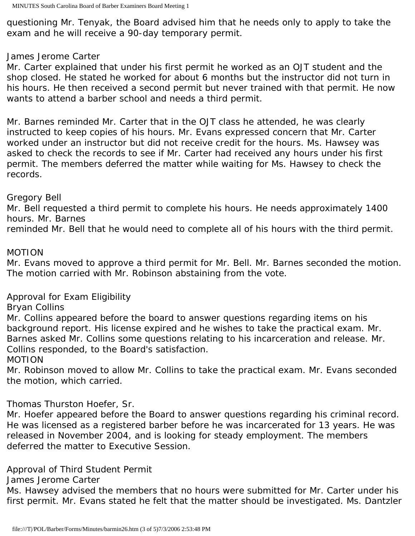questioning Mr. Tenyak, the Board advised him that he needs only to apply to take the exam and he will receive a 90-day temporary permit.

#### James Jerome Carter

Mr. Carter explained that under his first permit he worked as an OJT student and the shop closed. He stated he worked for about 6 months but the instructor did not turn in his hours. He then received a second permit but never trained with that permit. He now wants to attend a barber school and needs a third permit.

Mr. Barnes reminded Mr. Carter that in the OJT class he attended, he was clearly instructed to keep copies of his hours. Mr. Evans expressed concern that Mr. Carter worked under an instructor but did not receive credit for the hours. Ms. Hawsey was asked to check the records to see if Mr. Carter had received any hours under his first permit. The members deferred the matter while waiting for Ms. Hawsey to check the records.

# Gregory Bell

Mr. Bell requested a third permit to complete his hours. He needs approximately 1400 hours. Mr. Barnes

reminded Mr. Bell that he would need to complete all of his hours with the third permit.

# MOTION

Mr. Evans moved to approve a third permit for Mr. Bell. Mr. Barnes seconded the motion. The motion carried with Mr. Robinson abstaining from the vote.

# Approval for Exam Eligibility

# Bryan Collins

Mr. Collins appeared before the board to answer questions regarding items on his background report. His license expired and he wishes to take the practical exam. Mr. Barnes asked Mr. Collins some questions relating to his incarceration and release. Mr. Collins responded, to the Board's satisfaction.

#### MOTION

Mr. Robinson moved to allow Mr. Collins to take the practical exam. Mr. Evans seconded the motion, which carried.

# Thomas Thurston Hoefer, Sr.

Mr. Hoefer appeared before the Board to answer questions regarding his criminal record. He was licensed as a registered barber before he was incarcerated for 13 years. He was released in November 2004, and is looking for steady employment. The members deferred the matter to Executive Session.

# Approval of Third Student Permit

James Jerome Carter

Ms. Hawsey advised the members that no hours were submitted for Mr. Carter under his first permit. Mr. Evans stated he felt that the matter should be investigated. Ms. Dantzler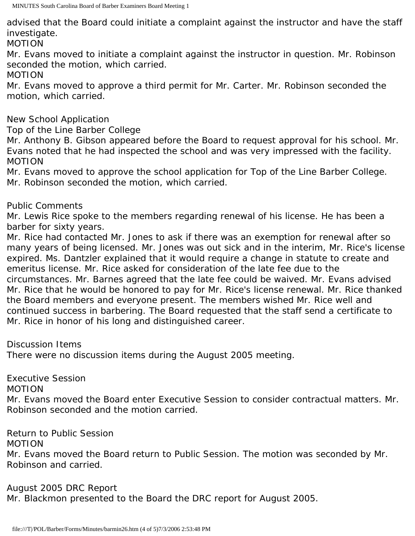advised that the Board could initiate a complaint against the instructor and have the staff investigate.

MOTION

Mr. Evans moved to initiate a complaint against the instructor in question. Mr. Robinson seconded the motion, which carried.

MOTION

Mr. Evans moved to approve a third permit for Mr. Carter. Mr. Robinson seconded the motion, which carried.

New School Application

Top of the Line Barber College

Mr. Anthony B. Gibson appeared before the Board to request approval for his school. Mr. Evans noted that he had inspected the school and was very impressed with the facility. MOTION

Mr. Evans moved to approve the school application for Top of the Line Barber College. Mr. Robinson seconded the motion, which carried.

Public Comments

Mr. Lewis Rice spoke to the members regarding renewal of his license. He has been a barber for sixty years.

Mr. Rice had contacted Mr. Jones to ask if there was an exemption for renewal after so many years of being licensed. Mr. Jones was out sick and in the interim, Mr. Rice's license expired. Ms. Dantzler explained that it would require a change in statute to create and emeritus license. Mr. Rice asked for consideration of the late fee due to the circumstances. Mr. Barnes agreed that the late fee could be waived. Mr. Evans advised Mr. Rice that he would be honored to pay for Mr. Rice's license renewal. Mr. Rice thanked the Board members and everyone present. The members wished Mr. Rice well and continued success in barbering. The Board requested that the staff send a certificate to Mr. Rice in honor of his long and distinguished career.

Discussion Items

There were no discussion items during the August 2005 meeting.

Executive Session

MOTION

Mr. Evans moved the Board enter Executive Session to consider contractual matters. Mr. Robinson seconded and the motion carried.

Return to Public Session

MOTION

Mr. Evans moved the Board return to Public Session. The motion was seconded by Mr. Robinson and carried.

August 2005 DRC Report

Mr. Blackmon presented to the Board the DRC report for August 2005.